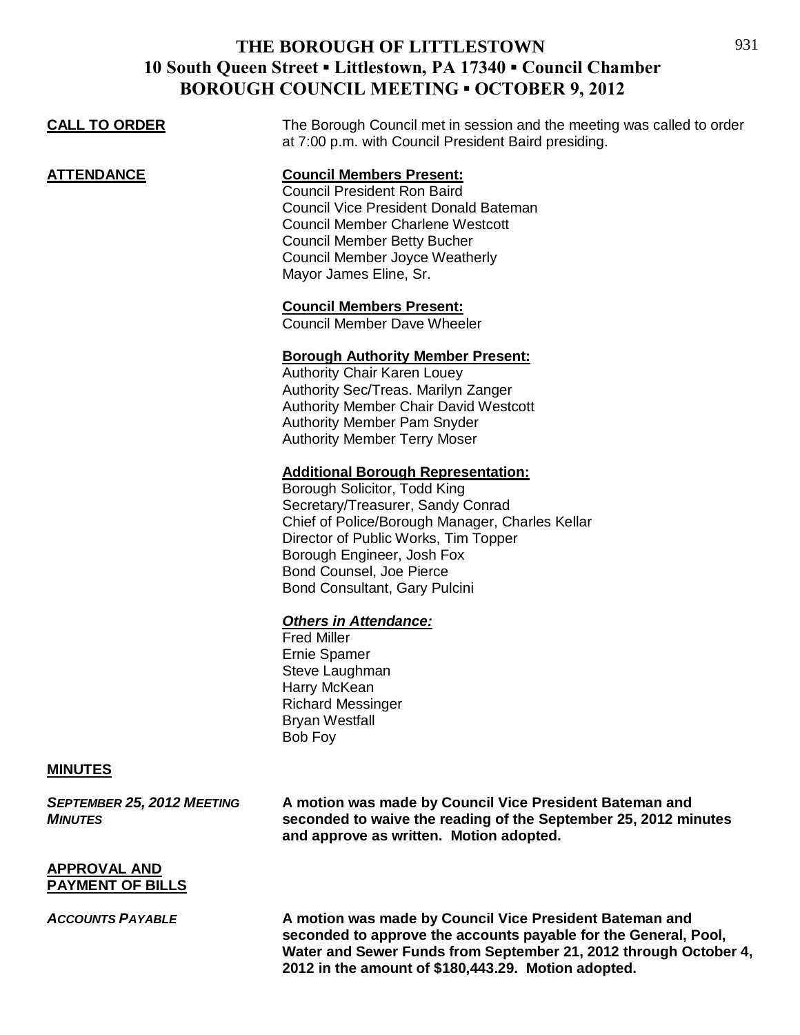| <b>BOROUGH COUNCIL MEETING • OCTOBER 9, 2012</b> |                                                                                                                                                                                                                                                                                                      |  |
|--------------------------------------------------|------------------------------------------------------------------------------------------------------------------------------------------------------------------------------------------------------------------------------------------------------------------------------------------------------|--|
| <b>CALL TO ORDER</b>                             | The Borough Council met in session and the meeting was called to order<br>at 7:00 p.m. with Council President Baird presiding.                                                                                                                                                                       |  |
| <b>ATTENDANCE</b>                                | <b>Council Members Present:</b><br><b>Council President Ron Baird</b><br><b>Council Vice President Donald Bateman</b><br><b>Council Member Charlene Westcott</b><br><b>Council Member Betty Bucher</b><br><b>Council Member Joyce Weatherly</b><br>Mayor James Eline, Sr.                            |  |
|                                                  | <b>Council Members Present:</b><br><b>Council Member Dave Wheeler</b>                                                                                                                                                                                                                                |  |
|                                                  | <b>Borough Authority Member Present:</b><br><b>Authority Chair Karen Louey</b><br>Authority Sec/Treas. Marilyn Zanger<br><b>Authority Member Chair David Westcott</b><br><b>Authority Member Pam Snyder</b><br><b>Authority Member Terry Moser</b>                                                   |  |
|                                                  | <b>Additional Borough Representation:</b><br>Borough Solicitor, Todd King<br>Secretary/Treasurer, Sandy Conrad<br>Chief of Police/Borough Manager, Charles Kellar<br>Director of Public Works, Tim Topper<br>Borough Engineer, Josh Fox<br>Bond Counsel, Joe Pierce<br>Bond Consultant, Gary Pulcini |  |
|                                                  | <b>Others in Attendance:</b><br><b>Fred Miller</b><br><b>Ernie Spamer</b><br>Steve Laughman<br>Harry McKean<br><b>Richard Messinger</b><br><b>Bryan Westfall</b><br>Bob Foy                                                                                                                          |  |

#### **MINUTES**

*SEPTEMBER 25, 2012 MEETING* **A motion was made by Council Vice President Bateman and**  *MINUTES* **seconded to waive the reading of the September 25, 2012 minutes and approve as written. Motion adopted.**

#### **APPROVAL AND PAYMENT OF BILLS**

*ACCOUNTS PAYABLE* **A motion was made by Council Vice President Bateman and seconded to approve the accounts payable for the General, Pool, Water and Sewer Funds from September 21, 2012 through October 4, 2012 in the amount of \$180,443.29. Motion adopted.**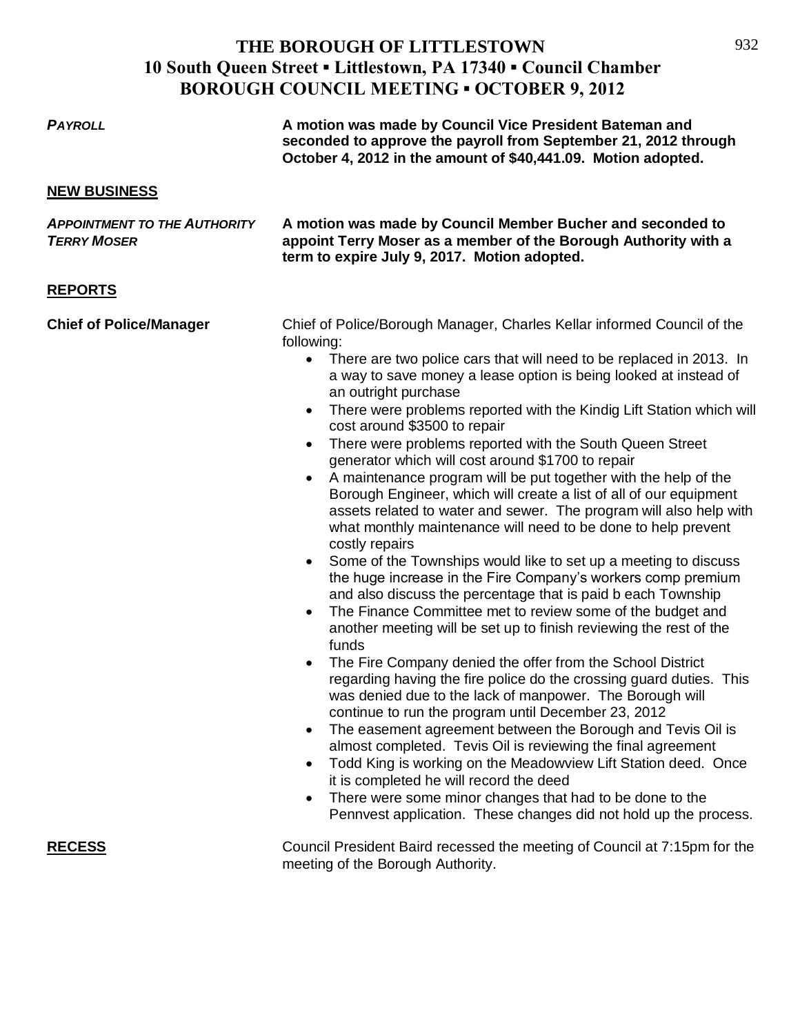932

| <b>PAYROLL</b>                                            | A motion was made by Council Vice President Bateman and<br>seconded to approve the payroll from September 21, 2012 through<br>October 4, 2012 in the amount of \$40,441.09. Motion adopted.                                                                                                                                                                                                                                                                                                                                                                                                                                                                                                                                                                                                                                                                                                                                                                                                                                                                                                                                                                                                                                                                                                                                                                                                                                                                                                                                                                                                                                                                                                                                                                                                                                                                                                               |
|-----------------------------------------------------------|-----------------------------------------------------------------------------------------------------------------------------------------------------------------------------------------------------------------------------------------------------------------------------------------------------------------------------------------------------------------------------------------------------------------------------------------------------------------------------------------------------------------------------------------------------------------------------------------------------------------------------------------------------------------------------------------------------------------------------------------------------------------------------------------------------------------------------------------------------------------------------------------------------------------------------------------------------------------------------------------------------------------------------------------------------------------------------------------------------------------------------------------------------------------------------------------------------------------------------------------------------------------------------------------------------------------------------------------------------------------------------------------------------------------------------------------------------------------------------------------------------------------------------------------------------------------------------------------------------------------------------------------------------------------------------------------------------------------------------------------------------------------------------------------------------------------------------------------------------------------------------------------------------------|
| <b>NEW BUSINESS</b>                                       |                                                                                                                                                                                                                                                                                                                                                                                                                                                                                                                                                                                                                                                                                                                                                                                                                                                                                                                                                                                                                                                                                                                                                                                                                                                                                                                                                                                                                                                                                                                                                                                                                                                                                                                                                                                                                                                                                                           |
| <b>APPOINTMENT TO THE AUTHORITY</b><br><b>TERRY MOSER</b> | A motion was made by Council Member Bucher and seconded to<br>appoint Terry Moser as a member of the Borough Authority with a<br>term to expire July 9, 2017. Motion adopted.                                                                                                                                                                                                                                                                                                                                                                                                                                                                                                                                                                                                                                                                                                                                                                                                                                                                                                                                                                                                                                                                                                                                                                                                                                                                                                                                                                                                                                                                                                                                                                                                                                                                                                                             |
| <b>REPORTS</b>                                            |                                                                                                                                                                                                                                                                                                                                                                                                                                                                                                                                                                                                                                                                                                                                                                                                                                                                                                                                                                                                                                                                                                                                                                                                                                                                                                                                                                                                                                                                                                                                                                                                                                                                                                                                                                                                                                                                                                           |
| <b>Chief of Police/Manager</b>                            | Chief of Police/Borough Manager, Charles Kellar informed Council of the<br>following:<br>There are two police cars that will need to be replaced in 2013. In<br>$\bullet$<br>a way to save money a lease option is being looked at instead of<br>an outright purchase<br>There were problems reported with the Kindig Lift Station which will<br>$\bullet$<br>cost around \$3500 to repair<br>There were problems reported with the South Queen Street<br>$\bullet$<br>generator which will cost around \$1700 to repair<br>A maintenance program will be put together with the help of the<br>$\bullet$<br>Borough Engineer, which will create a list of all of our equipment<br>assets related to water and sewer. The program will also help with<br>what monthly maintenance will need to be done to help prevent<br>costly repairs<br>Some of the Townships would like to set up a meeting to discuss<br>$\bullet$<br>the huge increase in the Fire Company's workers comp premium<br>and also discuss the percentage that is paid b each Township<br>The Finance Committee met to review some of the budget and<br>$\bullet$<br>another meeting will be set up to finish reviewing the rest of the<br>funds<br>The Fire Company denied the offer from the School District<br>$\bullet$<br>regarding having the fire police do the crossing guard duties. This<br>was denied due to the lack of manpower. The Borough will<br>continue to run the program until December 23, 2012<br>The easement agreement between the Borough and Tevis Oil is<br>$\bullet$<br>almost completed. Tevis Oil is reviewing the final agreement<br>Todd King is working on the Meadowview Lift Station deed. Once<br>$\bullet$<br>it is completed he will record the deed<br>There were some minor changes that had to be done to the<br>$\bullet$<br>Pennvest application. These changes did not hold up the process. |
| <b>RECESS</b>                                             | Council President Baird recessed the meeting of Council at 7:15pm for the                                                                                                                                                                                                                                                                                                                                                                                                                                                                                                                                                                                                                                                                                                                                                                                                                                                                                                                                                                                                                                                                                                                                                                                                                                                                                                                                                                                                                                                                                                                                                                                                                                                                                                                                                                                                                                 |

meeting of the Borough Authority.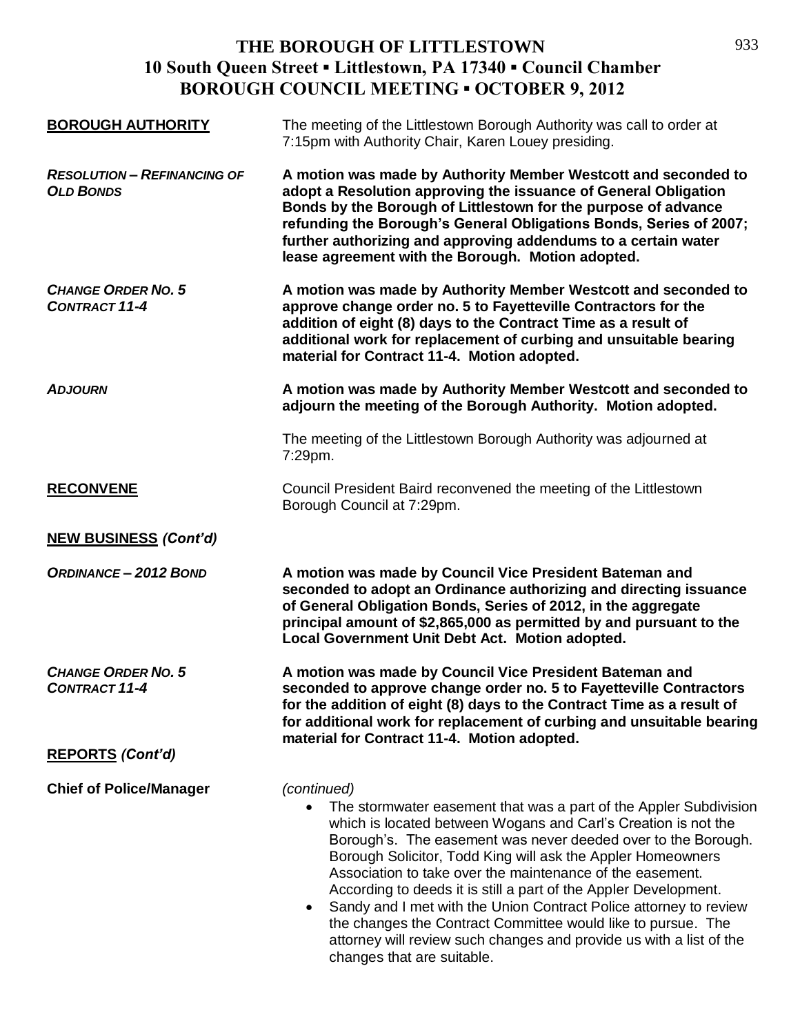| <b>BOROUGH AUTHORITY</b>                               | The meeting of the Littlestown Borough Authority was call to order at<br>7:15pm with Authority Chair, Karen Louey presiding.                                                                                                                                                                                                                                                                                                                                                                                                                                                                                                                                               |
|--------------------------------------------------------|----------------------------------------------------------------------------------------------------------------------------------------------------------------------------------------------------------------------------------------------------------------------------------------------------------------------------------------------------------------------------------------------------------------------------------------------------------------------------------------------------------------------------------------------------------------------------------------------------------------------------------------------------------------------------|
| <b>RESOLUTION - REFINANCING OF</b><br><b>OLD BONDS</b> | A motion was made by Authority Member Westcott and seconded to<br>adopt a Resolution approving the issuance of General Obligation<br>Bonds by the Borough of Littlestown for the purpose of advance<br>refunding the Borough's General Obligations Bonds, Series of 2007;<br>further authorizing and approving addendums to a certain water<br>lease agreement with the Borough. Motion adopted.                                                                                                                                                                                                                                                                           |
| <b>CHANGE ORDER NO. 5</b><br><b>CONTRACT 11-4</b>      | A motion was made by Authority Member Westcott and seconded to<br>approve change order no. 5 to Fayetteville Contractors for the<br>addition of eight (8) days to the Contract Time as a result of<br>additional work for replacement of curbing and unsuitable bearing<br>material for Contract 11-4. Motion adopted.                                                                                                                                                                                                                                                                                                                                                     |
| <b>ADJOURN</b>                                         | A motion was made by Authority Member Westcott and seconded to<br>adjourn the meeting of the Borough Authority. Motion adopted.                                                                                                                                                                                                                                                                                                                                                                                                                                                                                                                                            |
|                                                        | The meeting of the Littlestown Borough Authority was adjourned at<br>7:29pm.                                                                                                                                                                                                                                                                                                                                                                                                                                                                                                                                                                                               |
| <b>RECONVENE</b>                                       | Council President Baird reconvened the meeting of the Littlestown<br>Borough Council at 7:29pm.                                                                                                                                                                                                                                                                                                                                                                                                                                                                                                                                                                            |
| <b>NEW BUSINESS (Cont'd)</b>                           |                                                                                                                                                                                                                                                                                                                                                                                                                                                                                                                                                                                                                                                                            |
| <b>ORDINANCE-2012 BOND</b>                             | A motion was made by Council Vice President Bateman and<br>seconded to adopt an Ordinance authorizing and directing issuance<br>of General Obligation Bonds, Series of 2012, in the aggregate<br>principal amount of \$2,865,000 as permitted by and pursuant to the<br>Local Government Unit Debt Act. Motion adopted.                                                                                                                                                                                                                                                                                                                                                    |
| <b>CHANGE ORDER NO. 5</b><br><b>CONTRACT 11-4</b>      | A motion was made by Council Vice President Bateman and<br>seconded to approve change order no. 5 to Fayetteville Contractors<br>for the addition of eight (8) days to the Contract Time as a result of<br>for additional work for replacement of curbing and unsuitable bearing<br>material for Contract 11-4. Motion adopted.                                                                                                                                                                                                                                                                                                                                            |
| <b>REPORTS (Cont'd)</b>                                |                                                                                                                                                                                                                                                                                                                                                                                                                                                                                                                                                                                                                                                                            |
| <b>Chief of Police/Manager</b>                         | (continued)<br>The stormwater easement that was a part of the Appler Subdivision<br>which is located between Wogans and Carl's Creation is not the<br>Borough's. The easement was never deeded over to the Borough.<br>Borough Solicitor, Todd King will ask the Appler Homeowners<br>Association to take over the maintenance of the easement.<br>According to deeds it is still a part of the Appler Development.<br>Sandy and I met with the Union Contract Police attorney to review<br>$\bullet$<br>the changes the Contract Committee would like to pursue. The<br>attorney will review such changes and provide us with a list of the<br>changes that are suitable. |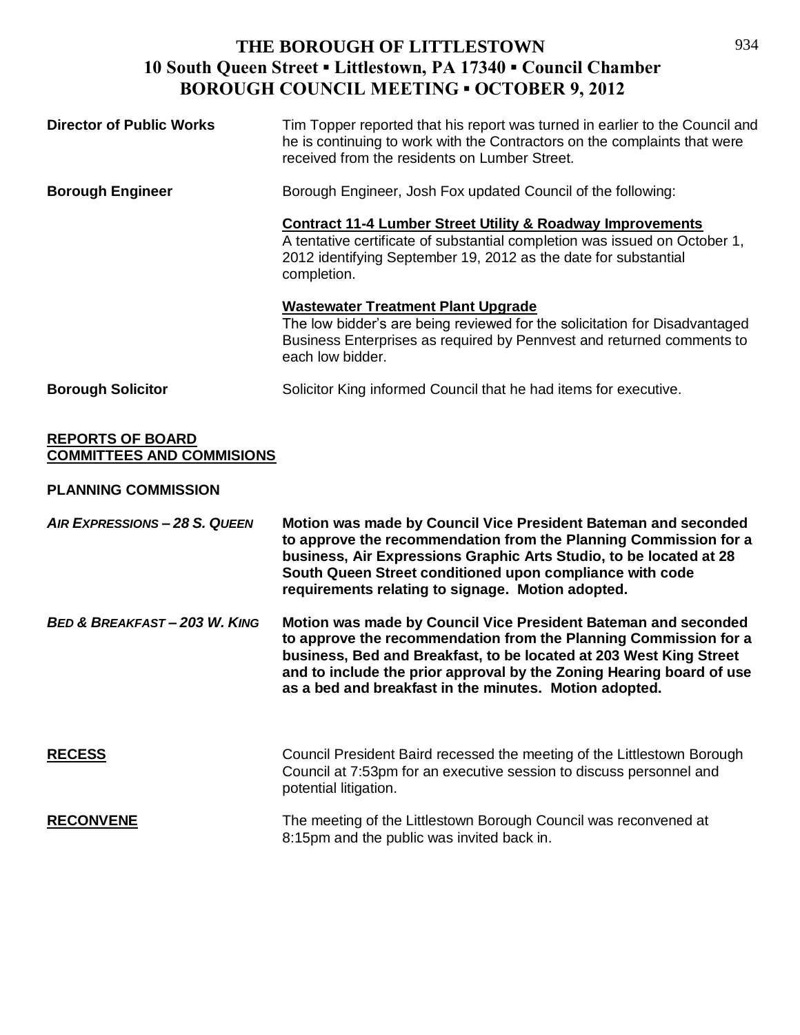| <b>Director of Public Works</b> | Tim Topper reported that his report was turned in earlier to the Council and<br>he is continuing to work with the Contractors on the complaints that were<br>received from the residents on Lumber Street.                            |
|---------------------------------|---------------------------------------------------------------------------------------------------------------------------------------------------------------------------------------------------------------------------------------|
| <b>Borough Engineer</b>         | Borough Engineer, Josh Fox updated Council of the following:                                                                                                                                                                          |
|                                 | <b>Contract 11-4 Lumber Street Utility &amp; Roadway Improvements</b><br>A tentative certificate of substantial completion was issued on October 1,<br>2012 identifying September 19, 2012 as the date for substantial<br>completion. |
|                                 | <b>Wastewater Treatment Plant Upgrade</b><br>The low bidder's are being reviewed for the solicitation for Disadvantaged<br>Business Enterprises as required by Pennvest and returned comments to<br>each low bidder.                  |
| <b>Borough Solicitor</b>        | Solicitor King informed Council that he had items for executive.                                                                                                                                                                      |

#### **REPORTS OF BOARD COMMITTEES AND COMMISIONS**

#### **PLANNING COMMISSION**

| AIR EXPRESSIONS - 28 S. QUEEN            | Motion was made by Council Vice President Bateman and seconded<br>to approve the recommendation from the Planning Commission for a<br>business, Air Expressions Graphic Arts Studio, to be located at 28<br>South Queen Street conditioned upon compliance with code<br>requirements relating to signage. Motion adopted.                  |
|------------------------------------------|--------------------------------------------------------------------------------------------------------------------------------------------------------------------------------------------------------------------------------------------------------------------------------------------------------------------------------------------|
| <b>BED &amp; BREAKFAST - 203 W. KING</b> | Motion was made by Council Vice President Bateman and seconded<br>to approve the recommendation from the Planning Commission for a<br>business, Bed and Breakfast, to be located at 203 West King Street<br>and to include the prior approval by the Zoning Hearing board of use<br>as a bed and breakfast in the minutes. Motion adopted. |
| <b>RECESS</b>                            | Council President Baird recessed the meeting of the Littlestown Borough<br>Council at 7:53pm for an executive session to discuss personnel and<br>potential litigation.                                                                                                                                                                    |
| <b>RECONVENE</b>                         | The meeting of the Littlestown Borough Council was reconvened at<br>8:15pm and the public was invited back in.                                                                                                                                                                                                                             |